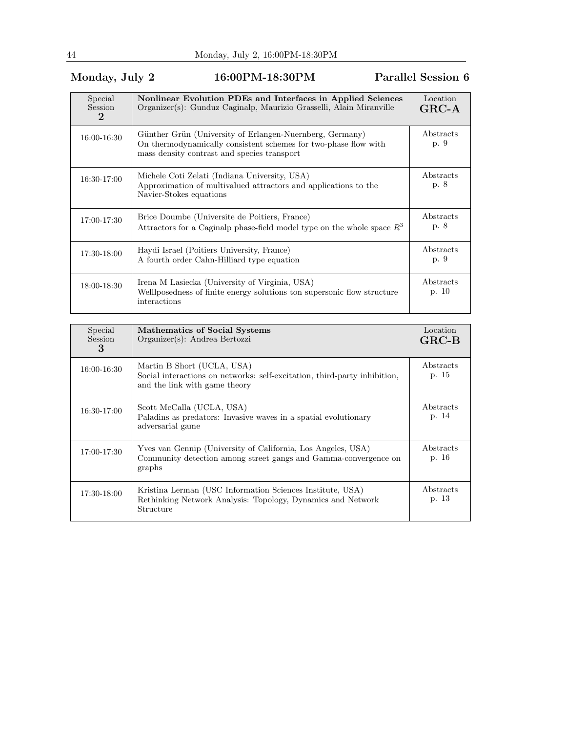## Monday, July 2 16:00PM-18:30PM Parallel Session 6

| Special<br><b>Session</b><br>$\bf{2}$ | Nonlinear Evolution PDEs and Interfaces in Applied Sciences<br>Organizer(s): Gunduz Caginalp, Maurizio Grasselli, Alain Miranville                                         | Location<br>$GRC-A$ |
|---------------------------------------|----------------------------------------------------------------------------------------------------------------------------------------------------------------------------|---------------------|
| 16:00-16:30                           | Günther Grün (University of Erlangen-Nuernberg, Germany)<br>On thermodynamically consistent schemes for two-phase flow with<br>mass density contrast and species transport | Abstracts<br>p. 9   |
| 16:30-17:00                           | Michele Coti Zelati (Indiana University, USA)<br>Approximation of multivalued attractors and applications to the<br>Navier-Stokes equations                                | Abstracts<br>p. 8   |
| 17:00-17:30                           | Brice Doumbe (Universite de Poitiers, France)<br>Attractors for a Caginalp phase-field model type on the whole space $R^3$                                                 | Abstracts<br>p. 8   |
| 17:30-18:00                           | Haydi Israel (Poitiers University, France)<br>A fourth order Cahn-Hilliard type equation                                                                                   | Abstracts<br>p. 9   |
| 18:00-18:30                           | Irena M Lasiecka (University of Virginia, USA)<br>Welllposedness of finite energy solutions ton supersonic flow structure<br>interactions                                  | Abstracts<br>p. 10  |

| Special<br><b>Session</b><br>3 | Mathematics of Social Systems<br>Organizer(s): Andrea Bertozzi                                                                            | Location<br>$GRC-B$ |
|--------------------------------|-------------------------------------------------------------------------------------------------------------------------------------------|---------------------|
| 16:00-16:30                    | Martin B Short (UCLA, USA)<br>Social interactions on networks: self-excitation, third-party inhibition,<br>and the link with game theory  | Abstracts<br>p. 15  |
| 16:30-17:00                    | Scott McCalla (UCLA, USA)<br>Palading as predators: Invasive waves in a spatial evolutionary<br>adversarial game                          | Abstracts<br>p. 14  |
| 17:00-17:30                    | Yves van Gennip (University of California, Los Angeles, USA)<br>Community detection among street gangs and Gamma-convergence on<br>graphs | Abstracts<br>p. 16  |
| 17:30-18:00                    | Kristina Lerman (USC Information Sciences Institute, USA)<br>Rethinking Network Analysis: Topology, Dynamics and Network<br>Structure     | Abstracts<br>p. 13  |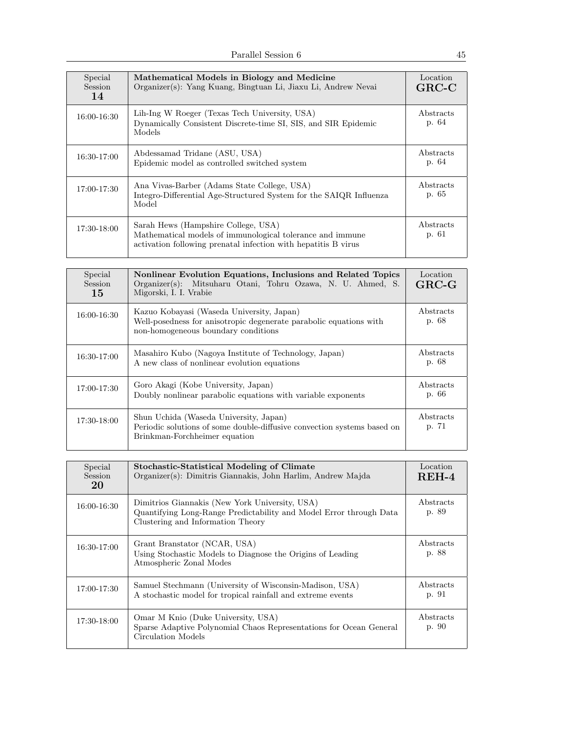| Special<br><b>Session</b><br>14 | Mathematical Models in Biology and Medicine<br>Organizer(s): Yang Kuang, Bingtuan Li, Jiaxu Li, Andrew Nevai                                                       | Location<br>$GRC-C$ |
|---------------------------------|--------------------------------------------------------------------------------------------------------------------------------------------------------------------|---------------------|
| 16:00-16:30                     | Lih-Ing W Roeger (Texas Tech University, USA)<br>Dynamically Consistent Discrete-time SI, SIS, and SIR Epidemic<br>Models                                          | Abstracts<br>p. 64  |
| 16:30-17:00                     | Abdessamad Tridane (ASU, USA)<br>Epidemic model as controlled switched system                                                                                      | Abstracts<br>p. 64  |
| 17:00-17:30                     | Ana Vivas-Barber (Adams State College, USA)<br>Integro-Differential Age-Structured System for the SAIQR Influenza<br>Model                                         | Abstracts<br>p. 65  |
| 17:30-18:00                     | Sarah Hews (Hampshire College, USA)<br>Mathematical models of immunological tolerance and immune<br>activation following prenatal infection with hepatitis B virus | Abstracts<br>p. 61  |

| Special<br><b>Session</b><br>15 | Nonlinear Evolution Equations, Inclusions and Related Topics<br>Organizer(s): Mitsuharu Otani, Tohru Ozawa, N. U. Ahmed, S.<br>Migorski, I. I. Vrabie  | Location<br>$GRC-G$ |
|---------------------------------|--------------------------------------------------------------------------------------------------------------------------------------------------------|---------------------|
| 16:00-16:30                     | Kazuo Kobayasi (Waseda University, Japan)<br>Well-posedness for anisotropic degenerate parabolic equations with<br>non-homogeneous boundary conditions | Abstracts<br>p. 68  |
| 16:30-17:00                     | Masahiro Kubo (Nagoya Institute of Technology, Japan)<br>A new class of nonlinear evolution equations                                                  | Abstracts<br>p. 68  |
| 17:00-17:30                     | Goro Akagi (Kobe University, Japan)<br>Doubly nonlinear parabolic equations with variable exponents                                                    | Abstracts<br>p. 66  |
| 17:30-18:00                     | Shun Uchida (Waseda University, Japan)<br>Periodic solutions of some double-diffusive convection systems based on<br>Brinkman-Forchheimer equation     | Abstracts<br>p. 71  |

| Special<br>Session<br>20 | <b>Stochastic-Statistical Modeling of Climate</b><br>Organizer(s): Dimitris Giannakis, John Harlim, Andrew Majda                                          | Location<br>$REH-4$ |
|--------------------------|-----------------------------------------------------------------------------------------------------------------------------------------------------------|---------------------|
| 16:00-16:30              | Dimitrios Giannakis (New York University, USA)<br>Quantifying Long-Range Predictability and Model Error through Data<br>Clustering and Information Theory | Abstracts<br>p. 89  |
| 16:30-17:00              | Grant Branstator (NCAR, USA)<br>Using Stochastic Models to Diagnose the Origins of Leading<br>Atmospheric Zonal Modes                                     | Abstracts<br>p. 88  |
| 17:00-17:30              | Samuel Stechmann (University of Wisconsin-Madison, USA)<br>A stochastic model for tropical rainfall and extreme events                                    | Abstracts<br>p. 91  |
| 17:30-18:00              | Omar M Knio (Duke University, USA)<br>Sparse Adaptive Polynomial Chaos Representations for Ocean General<br>Circulation Models                            | Abstracts<br>p. 90  |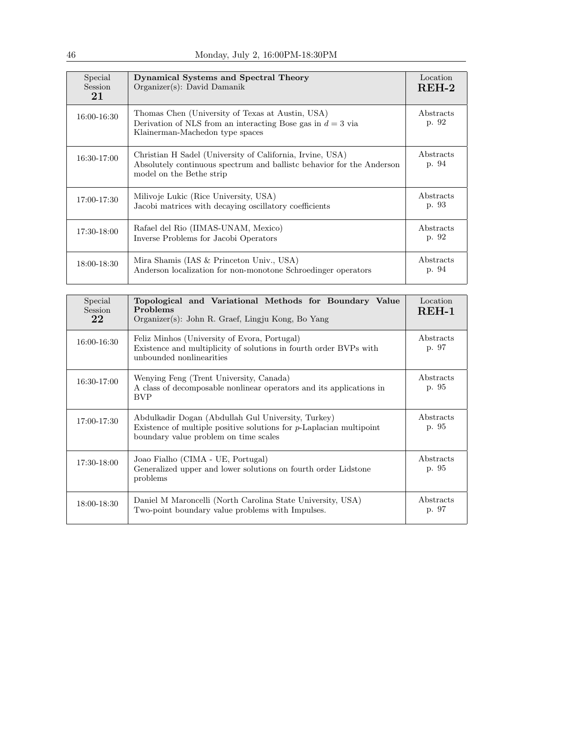| Special<br><b>Session</b><br>21 | Dynamical Systems and Spectral Theory<br>Organizer(s): David Damanik                                                                                            | Location<br>$REH-2$ |
|---------------------------------|-----------------------------------------------------------------------------------------------------------------------------------------------------------------|---------------------|
| 16:00-16:30                     | Thomas Chen (University of Texas at Austin, USA)<br>Derivation of NLS from an interacting Bose gas in $d=3$ via<br>Klainerman-Machedon type spaces              | Abstracts<br>p. 92  |
| 16:30-17:00                     | Christian H Sadel (University of California, Irvine, USA)<br>Absolutely continuous spectrum and ballistic behavior for the Anderson<br>model on the Bethe strip | Abstracts<br>p. 94  |
| 17:00-17:30                     | Milivoje Lukic (Rice University, USA)<br>Jacobi matrices with decaying oscillatory coefficients                                                                 | Abstracts<br>p. 93  |
| 17:30-18:00                     | Rafael del Rio (IIMAS-UNAM, Mexico)<br>Inverse Problems for Jacobi Operators                                                                                    | Abstracts<br>p. 92  |
| 18:00-18:30                     | Mira Shamis (IAS & Princeton Univ., USA)<br>Anderson localization for non-monotone Schroedinger operators                                                       | Abstracts<br>p. 94  |

| Special<br>Session<br>22 | Topological and Variational Methods for Boundary Value<br>Problems<br>Organizer(s): John R. Graef, Lingju Kong, Bo Yang                                               | Location<br>REH-1  |
|--------------------------|-----------------------------------------------------------------------------------------------------------------------------------------------------------------------|--------------------|
| 16:00-16:30              | Feliz Minhos (University of Evora, Portugal)<br>Existence and multiplicity of solutions in fourth order BVPs with<br>unbounded nonlinearities                         | Abstracts<br>p. 97 |
| 16:30-17:00              | Wenying Feng (Trent University, Canada)<br>A class of decomposable nonlinear operators and its applications in<br><b>BVP</b>                                          | Abstracts<br>p. 95 |
| 17:00-17:30              | Abdulkadir Dogan (Abdullah Gul University, Turkey)<br>Existence of multiple positive solutions for $p$ -Laplacian multipoint<br>boundary value problem on time scales | Abstracts<br>p. 95 |
| 17:30-18:00              | Joao Fialho (CIMA - UE, Portugal)<br>Generalized upper and lower solutions on fourth order Lidstone<br>problems                                                       | Abstracts<br>p. 95 |
| 18:00-18:30              | Daniel M Maroncelli (North Carolina State University, USA)<br>Two-point boundary value problems with Impulses.                                                        | Abstracts<br>p. 97 |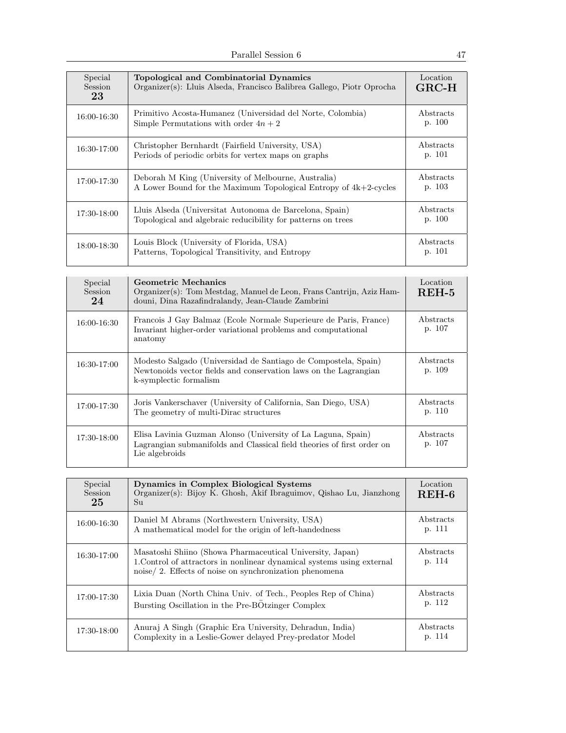| Special<br>Session<br>23 | Topological and Combinatorial Dynamics<br>Organizer(s): Lluis Alseda, Francisco Balibrea Gallego, Piotr Oprocha            | Location<br>$GRC-H$ |
|--------------------------|----------------------------------------------------------------------------------------------------------------------------|---------------------|
| 16:00-16:30              | Primitivo Acosta-Humanez (Universidad del Norte, Colombia)<br>Simple Permutations with order $4n + 2$                      | Abstracts<br>p. 100 |
| 16:30-17:00              | Christopher Bernhardt (Fairfield University, USA)<br>Periods of periodic orbits for vertex maps on graphs                  | Abstracts<br>p. 101 |
| 17:00-17:30              | Deborah M King (University of Melbourne, Australia)<br>A Lower Bound for the Maximum Topological Entropy of $4k+2$ -cycles | Abstracts<br>p. 103 |
| 17:30-18:00              | Lluis Alseda (Universitat Autonoma de Barcelona, Spain)<br>Topological and algebraic reducibility for patterns on trees    | Abstracts<br>p. 100 |
| 18:00-18:30              | Louis Block (University of Florida, USA)<br>Patterns, Topological Transitivity, and Entropy                                | Abstracts<br>p. 101 |

| Special<br>Session<br>24 | Geometric Mechanics<br>Organizer(s): Tom Mestdag, Manuel de Leon, Frans Cantrijn, Aziz Ham-<br>douni, Dina Razafindralandy, Jean-Claude Zambrini             | Location<br>$REH-5$ |
|--------------------------|--------------------------------------------------------------------------------------------------------------------------------------------------------------|---------------------|
| 16:00-16:30              | Francois J Gay Balmaz (Ecole Normale Superieure de Paris, France)<br>Invariant higher-order variational problems and computational<br>anatomy                | Abstracts<br>p. 107 |
| 16:30-17:00              | Modesto Salgado (Universidad de Santiago de Compostela, Spain)<br>Newtonoids vector fields and conservation laws on the Lagrangian<br>k-symplectic formalism | Abstracts<br>p. 109 |
| 17:00-17:30              | Joris Vankerschaver (University of California, San Diego, USA)<br>The geometry of multi-Dirac structures                                                     | Abstracts<br>p. 110 |
| 17:30-18:00              | Elisa Lavinia Guzman Alonso (University of La Laguna, Spain)<br>Lagrangian submanifolds and Classical field theories of first order on<br>Lie algebroids     | Abstracts<br>p. 107 |

| Special<br><b>Session</b><br>25 | Dynamics in Complex Biological Systems<br>Organizer(s): Bijoy K. Ghosh, Akif Ibraguimov, Qishao Lu, Jianzhong<br>Su                                                                           | Location<br>$REH-6$ |
|---------------------------------|-----------------------------------------------------------------------------------------------------------------------------------------------------------------------------------------------|---------------------|
| 16:00-16:30                     | Daniel M Abrams (Northwestern University, USA)<br>A mathematical model for the origin of left-handedness                                                                                      | Abstracts<br>p. 111 |
| 16:30-17:00                     | Masatoshi Shiino (Showa Pharmaceutical University, Japan)<br>1. Control of attractors in nonlinear dynamical systems using external<br>noise/2. Effects of noise on synchronization phenomena | Abstracts<br>p. 114 |
| 17:00-17:30                     | Lixia Duan (North China Univ. of Tech., Peoples Rep of China)<br>Bursting Oscillation in the Pre-BÖtzinger Complex                                                                            | Abstracts<br>p. 112 |
| 17:30-18:00                     | Anuraj A Singh (Graphic Era University, Dehradun, India)<br>Complexity in a Leslie-Gower delayed Prey-predator Model                                                                          | Abstracts<br>p. 114 |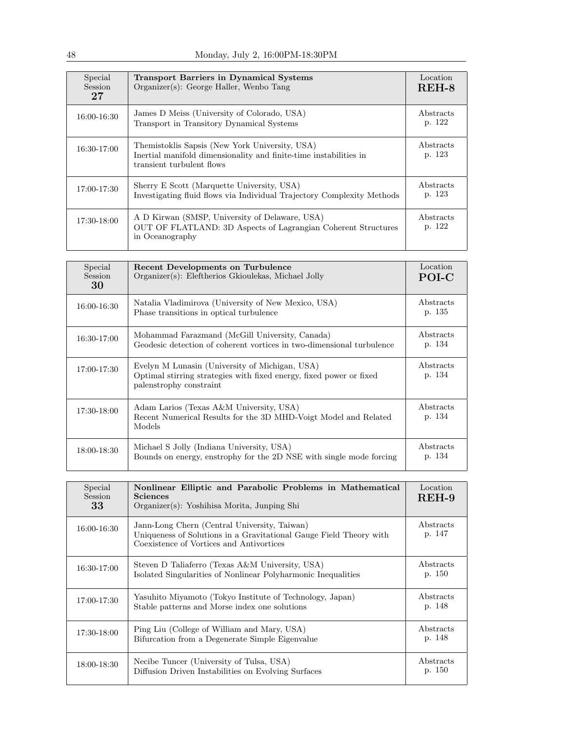| Special<br><b>Session</b><br>27 | <b>Transport Barriers in Dynamical Systems</b><br>Organizer(s): George Haller, Wenbo Tang                                                        | Location<br>$REH-8$ |
|---------------------------------|--------------------------------------------------------------------------------------------------------------------------------------------------|---------------------|
| 16:00-16:30                     | James D Meiss (University of Colorado, USA)<br>Transport in Transitory Dynamical Systems                                                         | Abstracts<br>p. 122 |
| $16:30-17:00$                   | Themistoklis Sapsis (New York University, USA)<br>Inertial manifold dimensionality and finite-time instabilities in<br>transient turbulent flows | Abstracts<br>p. 123 |
| 17:00-17:30                     | Sherry E Scott (Marquette University, USA)<br>Investigating fluid flows via Individual Trajectory Complexity Methods                             | Abstracts<br>p. 123 |
| 17:30-18:00                     | A D Kirwan (SMSP, University of Delaware, USA)<br>OUT OF FLATLAND: 3D Aspects of Lagrangian Coherent Structures<br>in Oceanography               | Abstracts<br>p. 122 |

| Special<br>Session<br>30 | Recent Developments on Turbulence<br>Organizer(s): Eleftherios Gkioulekas, Michael Jolly                                                        | Location<br>POI-C   |
|--------------------------|-------------------------------------------------------------------------------------------------------------------------------------------------|---------------------|
| 16:00-16:30              | Natalia Vladimirova (University of New Mexico, USA)<br>Phase transitions in optical turbulence                                                  | Abstracts<br>p. 135 |
| 16:30-17:00              | Mohammad Farazmand (McGill University, Canada)<br>Geodesic detection of coherent vortices in two-dimensional turbulence                         | Abstracts<br>p. 134 |
| 17:00-17:30              | Evelyn M Lunasin (University of Michigan, USA)<br>Optimal stirring strategies with fixed energy, fixed power or fixed<br>palentrophy constraint | Abstracts<br>p. 134 |
| $17:30-18:00$            | Adam Larios (Texas A&M University, USA)<br>Recent Numerical Results for the 3D MHD-Voigt Model and Related<br>Models                            | Abstracts<br>p. 134 |
| 18:00-18:30              | Michael S Jolly (Indiana University, USA)<br>Bounds on energy, enstrophy for the 2D NSE with single mode forcing                                | Abstracts<br>p. 134 |

| Special<br>Session<br>33 | Nonlinear Elliptic and Parabolic Problems in Mathematical<br><b>Sciences</b><br>Organizer(s): Yoshihisa Morita, Junping Shi                                    | Location<br>$REH-9$ |
|--------------------------|----------------------------------------------------------------------------------------------------------------------------------------------------------------|---------------------|
| 16:00-16:30              | Jann-Long Chern (Central University, Taiwan)<br>Uniqueness of Solutions in a Gravitational Gauge Field Theory with<br>Coexistence of Vortices and Antivortices | Abstracts<br>p. 147 |
| 16:30-17:00              | Steven D Taliaferro (Texas A&M University, USA)<br>Isolated Singularities of Nonlinear Polyharmonic Inequalities                                               | Abstracts<br>p. 150 |
| 17:00-17:30              | Yasuhito Miyamoto (Tokyo Institute of Technology, Japan)<br>Stable patterns and Morse index one solutions                                                      | Abstracts<br>p. 148 |
| 17:30-18:00              | Ping Liu (College of William and Mary, USA)<br>Bifurcation from a Degenerate Simple Eigenvalue                                                                 | Abstracts<br>p. 148 |
| 18:00-18:30              | Necibe Tuncer (University of Tulsa, USA)<br>Diffusion Driven Instabilities on Evolving Surfaces                                                                | Abstracts<br>p. 150 |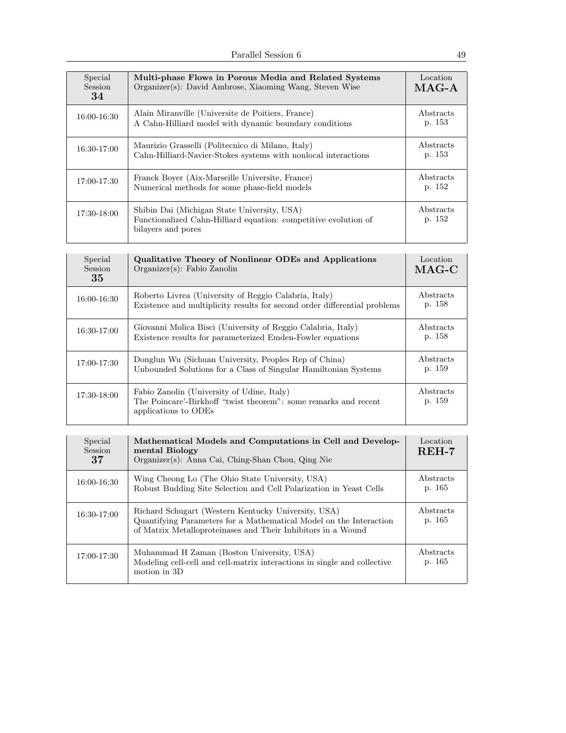| Special<br>Session<br>34 | Multi-phase Flows in Porous Media and Related Systems<br>Organizer(s): David Ambrose, Xiaoming Wang, Steven Wise                     | Location<br>$MAG-A$ |
|--------------------------|--------------------------------------------------------------------------------------------------------------------------------------|---------------------|
| 16:00-16:30              | Alain Miranville (Universite de Poitiers, France)<br>A Cahn-Hilliard model with dynamic boundary conditions                          | Abstracts<br>p. 153 |
| 16:30-17:00              | Maurizio Grasselli (Politecnico di Milano, Italy)<br>Cahn-Hilliard-Navier-Stokes systems with nonlocal interactions                  | Abstracts<br>p. 153 |
| $17:00 - 17:30$          | Franck Boyer (Aix-Marseille Universite, France)<br>Numerical methods for some phase-field models                                     | Abstracts<br>p. 152 |
| 17:30-18:00              | Shibin Dai (Michigan State University, USA)<br>Functionalized Cahn-Hilliard equation: competitive evolution of<br>bilayers and pores | Abstracts<br>p. 152 |

| Special<br>Session<br>35 | Qualitative Theory of Nonlinear ODEs and Applications<br>$Organizer(s)$ : Fabio Zanolin                                               | Location<br>$MAG-C$ |
|--------------------------|---------------------------------------------------------------------------------------------------------------------------------------|---------------------|
| 16:00-16:30              | Roberto Livrea (University of Reggio Calabria, Italy)<br>Existence and multiplicity results for second order differential problems    | Abstracts<br>p. 158 |
| 16:30-17:00              | Giovanni Molica Bisci (University of Reggio Calabria, Italy)<br>Existence results for parameterized Emden-Fowler equations            | Abstracts<br>p. 158 |
| 17:00-17:30              | Donglun Wu (Sichuan University, Peoples Rep of China)<br>Unbounded Solutions for a Class of Singular Hamiltonian Systems              | Abstracts<br>p. 159 |
| 17:30-18:00              | Fabio Zanolin (University of Udine, Italy)<br>The Poincare'-Birkhoff "twist theorem": some remarks and recent<br>applications to ODEs | Abstracts<br>p. 159 |

| Special<br><b>Session</b><br>37 | Mathematical Models and Computations in Cell and Develop-<br>mental Biology<br>Organizer(s): Anna Cai, Ching-Shan Chou, Qing Nie                                                          | Location<br>$REH-7$ |
|---------------------------------|-------------------------------------------------------------------------------------------------------------------------------------------------------------------------------------------|---------------------|
| 16:00-16:30                     | Wing Cheong Lo (The Ohio State University, USA)<br>Robust Budding Site Selection and Cell Polarization in Yeast Cells                                                                     | Abstracts<br>p. 165 |
| 16:30-17:00                     | Richard Schugart (Western Kentucky University, USA)<br>Quantifying Parameters for a Mathematical Model on the Interaction<br>of Matrix Metalloproteinases and Their Inhibitors in a Wound | Abstracts<br>p. 165 |
| 17:00-17:30                     | Muhammad H Zaman (Boston University, USA)<br>Modeling cell-cell and cell-matrix interactions in single and collective<br>motion in 3D                                                     | Abstracts<br>p. 165 |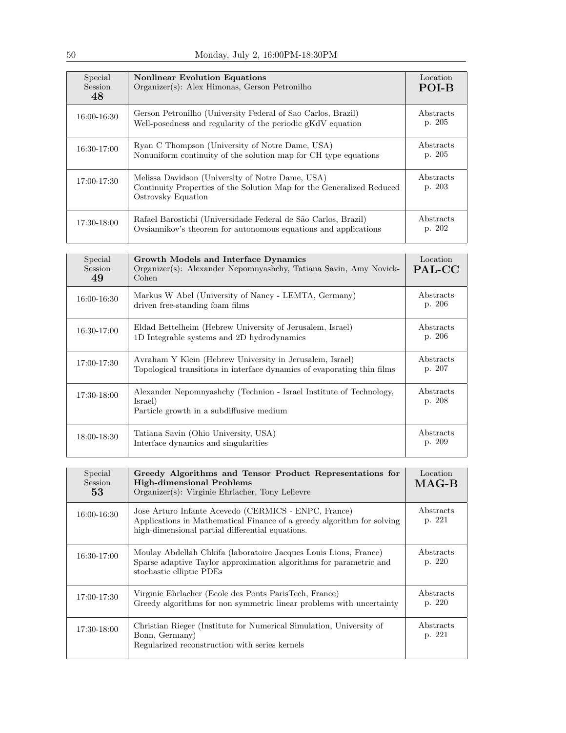| Special<br>Session<br>48 | <b>Nonlinear Evolution Equations</b><br>Organizer(s): Alex Himonas, Gerson Petronilho                                                           | Location<br>POI-B   |
|--------------------------|-------------------------------------------------------------------------------------------------------------------------------------------------|---------------------|
| 16:00-16:30              | Gerson Petronilho (University Federal of Sao Carlos, Brazil)<br>Well-posedness and regularity of the periodic gKdV equation                     | Abstracts<br>p. 205 |
| 16:30-17:00              | Ryan C Thompson (University of Notre Dame, USA)<br>Nonuniform continuity of the solution map for CH type equations                              | Abstracts<br>p. 205 |
| 17:00-17:30              | Melissa Davidson (University of Notre Dame, USA)<br>Continuity Properties of the Solution Map for the Generalized Reduced<br>Ostrovsky Equation | Abstracts<br>p. 203 |
| 17:30-18:00              | Rafael Barostichi (Universidade Federal de São Carlos, Brazil)<br>Ovsiannikov's theorem for autonomous equations and applications               | Abstracts<br>p. 202 |

| Special<br>Session<br>49 | Growth Models and Interface Dynamics<br>Organizer(s): Alexander Nepomnyashchy, Tatiana Savin, Amy Novick-<br>Cohen                  | Location<br>PAL-CC  |
|--------------------------|-------------------------------------------------------------------------------------------------------------------------------------|---------------------|
| 16:00-16:30              | Markus W Abel (University of Nancy - LEMTA, Germany)<br>driven free-standing foam films                                             | Abstracts<br>p. 206 |
| 16:30-17:00              | Eldad Bettelheim (Hebrew University of Jerusalem, Israel)<br>1D Integrable systems and 2D hydrodynamics                             | Abstracts<br>p. 206 |
| 17:00-17:30              | Avraham Y Klein (Hebrew University in Jerusalem, Israel)<br>Topological transitions in interface dynamics of evaporating thin films | Abstracts<br>p. 207 |
| 17:30-18:00              | Alexander Nepomnyashchy (Technion - Israel Institute of Technology,<br>Israel)<br>Particle growth in a subdiffusive medium          | Abstracts<br>p. 208 |
| 18:00-18:30              | Tatiana Savin (Ohio University, USA)<br>Interface dynamics and singularities                                                        | Abstracts<br>p. 209 |

| Special<br>Session<br>53 | Greedy Algorithms and Tensor Product Representations for<br><b>High-dimensional Problems</b><br>Organizer(s): Virginie Ehrlacher, Tony Lelievre                                    | Location<br>$MAG-B$ |
|--------------------------|------------------------------------------------------------------------------------------------------------------------------------------------------------------------------------|---------------------|
| 16:00-16:30              | Jose Arturo Infante Acevedo (CERMICS - ENPC, France)<br>Applications in Mathematical Finance of a greedy algorithm for solving<br>high-dimensional partial differential equations. | Abstracts<br>p. 221 |
| 16:30-17:00              | Moulay Abdellah Chkifa (laboratoire Jacques Louis Lions, France)<br>Sparse adaptive Taylor approximation algorithms for parametric and<br>stochastic elliptic PDEs                 | Abstracts<br>p. 220 |
| 17:00-17:30              | Virginie Ehrlacher (Ecole des Ponts Paris Tech, France)<br>Greedy algorithms for non symmetric linear problems with uncertainty                                                    | Abstracts<br>p. 220 |
| 17:30-18:00              | Christian Rieger (Institute for Numerical Simulation, University of<br>Bonn, Germany)<br>Regularized reconstruction with series kernels                                            | Abstracts<br>p. 221 |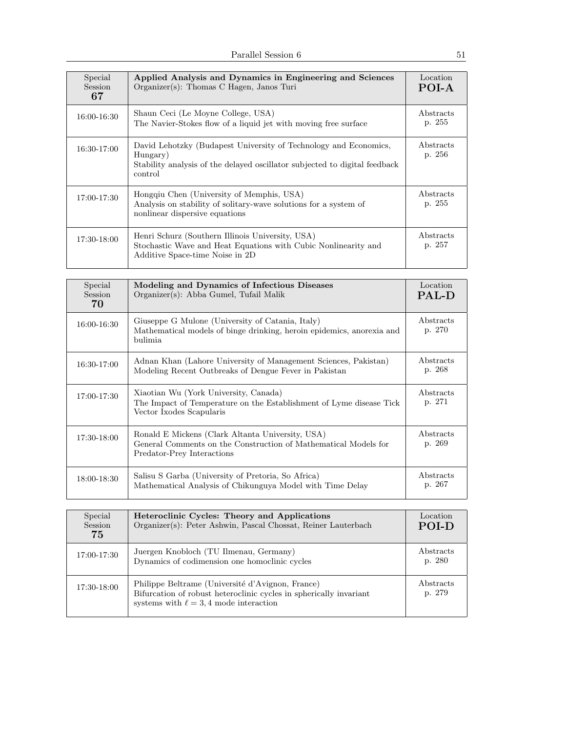| Special<br><b>Session</b><br>67 | Applied Analysis and Dynamics in Engineering and Sciences<br>Organizer(s): Thomas C Hagen, Janos Turi                                                                 | Location<br>POI-A   |
|---------------------------------|-----------------------------------------------------------------------------------------------------------------------------------------------------------------------|---------------------|
| 16:00-16:30                     | Shaun Ceci (Le Moyne College, USA)<br>The Navier-Stokes flow of a liquid jet with moving free surface                                                                 | Abstracts<br>p. 255 |
| $16:30-17:00$                   | David Lehotzky (Budapest University of Technology and Economics,<br>Hungary)<br>Stability analysis of the delayed oscillator subjected to digital feedback<br>control | Abstracts<br>p. 256 |
| $17:00 - 17:30$                 | Hongqiu Chen (University of Memphis, USA)<br>Analysis on stability of solitary-wave solutions for a system of<br>nonlinear dispersive equations                       | Abstracts<br>p. 255 |
| 17:30-18:00                     | Henri Schurz (Southern Illinois University, USA)<br>Stochastic Wave and Heat Equations with Cubic Nonlinearity and<br>Additive Space-time Noise in 2D                 | Abstracts<br>p. 257 |

| Special<br>Session<br>70 | Modeling and Dynamics of Infectious Diseases<br>Organizer(s): Abba Gumel, Tufail Malik                                                            | Location<br><b>PAL-D</b>   |
|--------------------------|---------------------------------------------------------------------------------------------------------------------------------------------------|----------------------------|
| 16:00-16:30              | Giuseppe G Mulone (University of Catania, Italy)<br>Mathematical models of binge drinking, heroin epidemics, anorexia and<br>bulimia.             | Abstracts<br>p. 270        |
| 16:30-17:00              | Adnan Khan (Lahore University of Management Sciences, Pakistan)<br>Modeling Recent Outbreaks of Dengue Fever in Pakistan                          | Abstracts<br>p. 268        |
| 17:00-17:30              | Xiaotian Wu (York University, Canada)<br>The Impact of Temperature on the Establishment of Lyme disease Tick<br>Vector Ixodes Scapularis          | <i>Abstracts</i><br>p. 271 |
| 17:30-18:00              | Ronald E Mickens (Clark Altanta University, USA)<br>General Comments on the Construction of Mathematical Models for<br>Predator-Prey Interactions | Abstracts<br>p. 269        |
| 18:00-18:30              | Salisu S Garba (University of Pretoria, So Africa)<br>Mathematical Analysis of Chikunguya Model with Time Delay                                   | Abstracts<br>p. 267        |

| Special<br>Session<br>75 | Heteroclinic Cycles: Theory and Applications<br>Organizer(s): Peter Ashwin, Pascal Chossat, Reiner Lauterbach                                                         | Location<br><b>POI-D</b> |
|--------------------------|-----------------------------------------------------------------------------------------------------------------------------------------------------------------------|--------------------------|
| 17:00-17:30              | Juergen Knobloch (TU Ilmenau, Germany)<br>Dynamics of codimension one homoclinic cycles                                                                               | Abstracts<br>p. 280      |
| 17:30-18:00              | Philippe Beltrame (Université d'Avignon, France)<br>Bifurcation of robust heteroclinic cycles in spherically invariant<br>systems with $\ell = 3, 4$ mode interaction | Abstracts<br>p. 279      |